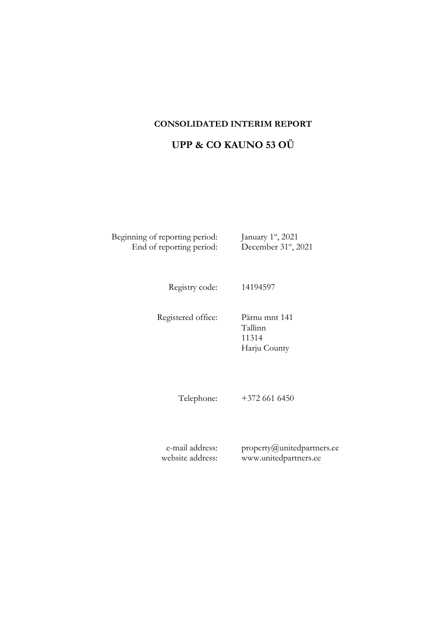### **CONSOLIDATED INTERIM REPORT**

## **UPP & CO KAUNO 53 OÜ**

Beginning of reporting period: End of reporting period: st , 2021 st , 2021

Registry code: 14194597

Registered office: Pärnu mnt 141 Tallinn 11314 Harju County

Telephone: +372 661 6450

e-mail address: website address: property@unitedpartners.ee www.unitedpartners.ee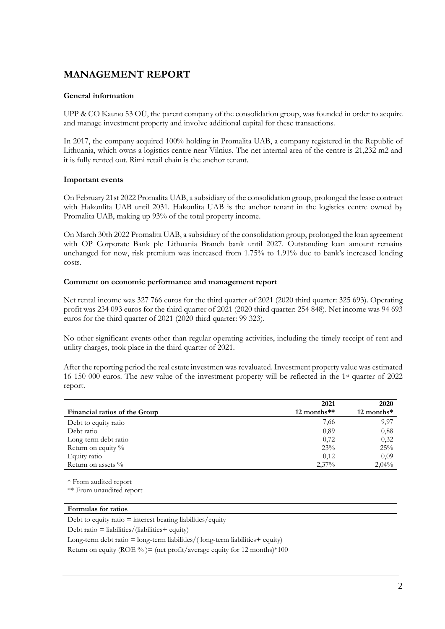## **MANAGEMENT REPORT**

#### **General information**

UPP & CO Kauno 53 OÜ, the parent company of the consolidation group, was founded in order to acquire and manage investment property and involve additional capital for these transactions.

In 2017, the company acquired 100% holding in Promalita UAB, a company registered in the Republic of Lithuania, which owns a logistics centre near Vilnius. The net internal area of the centre is 21,232 m2 and it is fully rented out. Rimi retail chain is the anchor tenant.

#### **Important events**

On February 21st 2022 Promalita UAB, a subsidiary of the consolidation group, prolonged the lease contract with Hakonlita UAB until 2031. Hakonlita UAB is the anchor tenant in the logistics centre owned by Promalita UAB, making up 93% of the total property income.

On March 30th 2022 Promalita UAB, a subsidiary of the consolidation group, prolonged the loan agreement with OP Corporate Bank plc Lithuania Branch bank until 2027. Outstanding loan amount remains unchanged for now, risk premium was increased from 1.75% to 1.91% due to bank's increased lending costs.

#### **Comment on economic performance and management report**

Net rental income was 327 766 euros for the third quarter of 2021 (2020 third quarter: 325 693). Operating profit was 234 093 euros for the third quarter of 2021 (2020 third quarter: 254 848). Net income was 94 693 euros for the third quarter of 2021 (2020 third quarter: 99 323).

No other significant events other than regular operating activities, including the timely receipt of rent and utility charges, took place in the third quarter of 2021.

After the reporting period the real estate investmen was revaluated. Investment property value was estimated 16 150 000 euros. The new value of the investment property will be reflected in the 1st quarter of 2022 report.

|                               | 2021          | 2020                     |
|-------------------------------|---------------|--------------------------|
| Financial ratios of the Group | $12$ months** | $12$ months <sup>*</sup> |
| Debt to equity ratio          | 7,66          | 9,97                     |
| Debt ratio                    | 0,89          | 0,88                     |
| Long-term debt ratio          | 0,72          | 0,32                     |
| Return on equity %            | 23%           | 25%                      |
| Equity ratio                  | 0,12          | 0.09                     |
| Return on assets $\%$         | 2,37%         | 2,04%                    |

\* From audited report

\*\* From unaudited report

#### **Formulas for ratios**

Debt to equity ratio  $=$  interest bearing liabilities/equity

Debt ratio = liabilities/(liabilities+ equity)

Long-term debt ratio  $=$  long-term liabilities/(long-term liabilities  $+$  equity)

Return on equity (ROE %) = (net profit/average equity for 12 months)  $*100$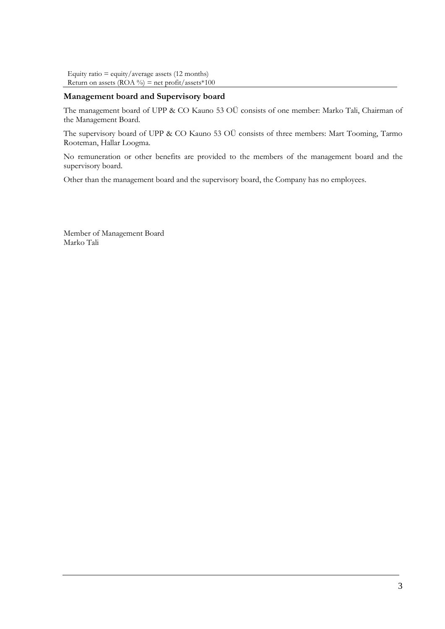```
Equity ratio = equity/average assets (12 months)
Return on assets (ROA \%) = net profit/assets*100
```
#### **Management board and Supervisory board**

The management board of UPP & CO Kauno 53 OÜ consists of one member: Marko Tali, Chairman of the Management Board.

The supervisory board of UPP & CO Kauno 53 OÜ consists of three members: Mart Tooming, Tarmo Rooteman, Hallar Loogma.

No remuneration or other benefits are provided to the members of the management board and the supervisory board.

Other than the management board and the supervisory board, the Company has no employees.

Member of Management Board Marko Tali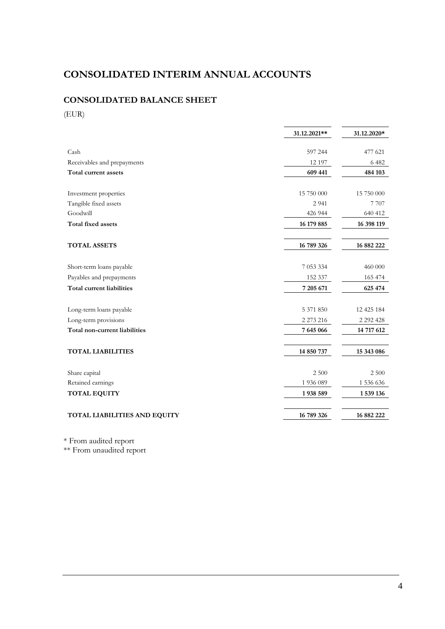# **CONSOLIDATED INTERIM ANNUAL ACCOUNTS**

## **CONSOLIDATED BALANCE SHEET**

(EUR)

|                                                     | 31.12.2021**  | 31.12.2020*   |  |
|-----------------------------------------------------|---------------|---------------|--|
| Cash                                                | 597 244       | 477 621       |  |
|                                                     |               |               |  |
| Receivables and prepayments<br>Total current assets | 12 197        | 6 4 8 2       |  |
|                                                     | 609 441       | 484 103       |  |
| Investment properties                               | 15 750 000    | 15 750 000    |  |
| Tangible fixed assets                               | 2 9 4 1       | 7 7 0 7       |  |
| Goodwill                                            | 426 944       | 640 412       |  |
| <b>Total fixed assets</b>                           | 16 179 885    | 16 398 119    |  |
| <b>TOTAL ASSETS</b>                                 | 16 789 326    | 16 882 222    |  |
| Short-term loans payable                            | 7 053 334     | 460 000       |  |
| Payables and prepayments                            | 152 337       | 165 474       |  |
| <b>Total current liabilities</b>                    | 7 205 671     | 625 474       |  |
| Long-term loans payable                             | 5 371 850     | 12 425 184    |  |
| Long-term provisions                                | 2 2 7 3 2 1 6 | 2 2 9 2 4 2 8 |  |
| Total non-current liabilities                       | 7 645 066     | 14 717 612    |  |
| <b>TOTAL LIABILITIES</b>                            | 14 850 737    | 15 343 086    |  |
| Share capital                                       | 2 500         | 2 500         |  |
| Retained earnings                                   | 1 936 089     | 1 536 636     |  |
| <b>TOTAL EQUITY</b>                                 | 1938 589      | 1 539 136     |  |
| TOTAL LIABILITIES AND EQUITY                        | 16 789 326    | 16 882 222    |  |

\* From audited report

\*\* From unaudited report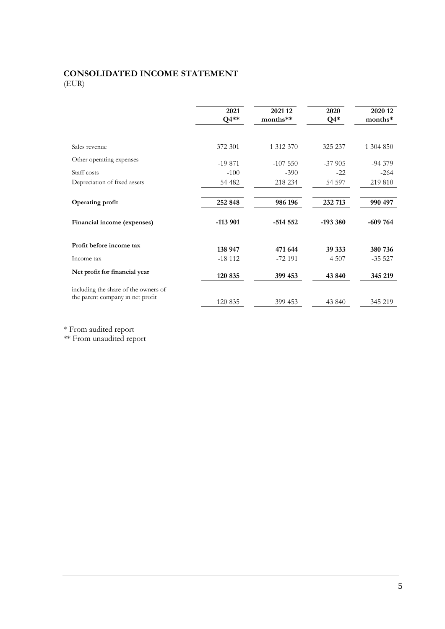#### **CONSOLIDATED INCOME STATEMENT** (EUR)

**2021 Q4\*\* 2021 12 months\*\* 2020 Q4\* 2020 12 months\*** Sales revenue 1 312 370 1 304 850 325 237 1 304 850 Other operating expenses -19 871 -107 550 -37 905 -94 379 Staff costs  $-100$   $-390$   $-22$   $-264$ Depreciation of fixed assets -54 482 -218 234 -54 597 -219 810 **Operating profit 252 848 986 196 232 713 990 497 Financial income (expenses) -113 901 -514 552 -193 380 -609 764 Profit before income tax 138 947 471 644 39 333 380 736** Income tax  $-18\ 112$   $-72\ 191$   $4\ 507$   $-35\ 527$ **Net profit for financial year 120 835 399 453 43 840 345 219** including the share of the owners of the parent company in net profit 120 835 399 453 43 840 345 219

\* From audited report

\*\* From unaudited report